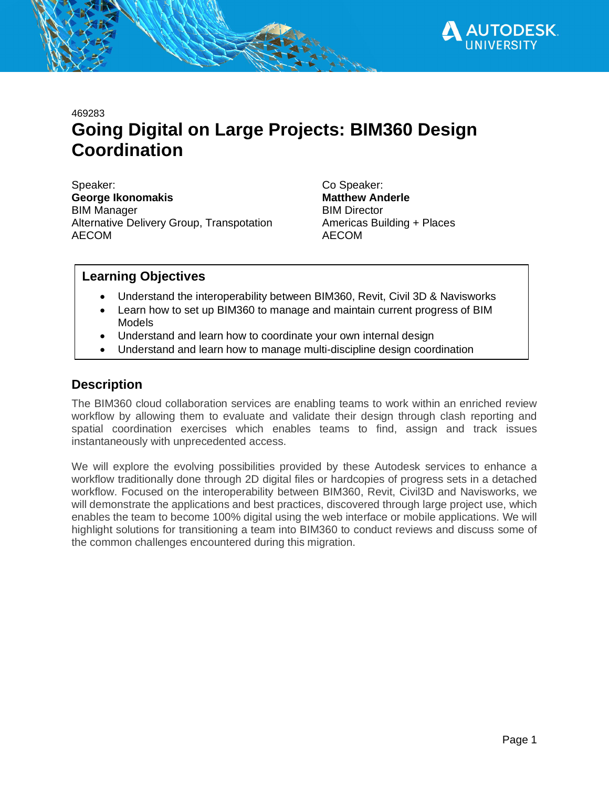

469283

# **Going Digital on Large Projects: BIM360 Design Coordination**

Speaker: Co Speaker: **George Ikonomakis Matthew Anderle** BIM Manager BIM Director Alternative Delivery Group, Transpotation Americas Building + Places AECOM AECOM

### **Learning Objectives**

- · Understand the interoperability between BIM360, Revit, Civil 3D & Navisworks
- · Learn how to set up BIM360 to manage and maintain current progress of BIM Models
- · Understand and learn how to coordinate your own internal design
- · Understand and learn how to manage multi-discipline design coordination

# **Description**

The BIM360 cloud collaboration services are enabling teams to work within an enriched review workflow by allowing them to evaluate and validate their design through clash reporting and spatial coordination exercises which enables teams to find, assign and track issues instantaneously with unprecedented access.

We will explore the evolving possibilities provided by these Autodesk services to enhance a workflow traditionally done through 2D digital files or hardcopies of progress sets in a detached workflow. Focused on the interoperability between BIM360, Revit, Civil3D and Navisworks, we will demonstrate the applications and best practices, discovered through large project use, which enables the team to become 100% digital using the web interface or mobile applications. We will highlight solutions for transitioning a team into BIM360 to conduct reviews and discuss some of the common challenges encountered during this migration.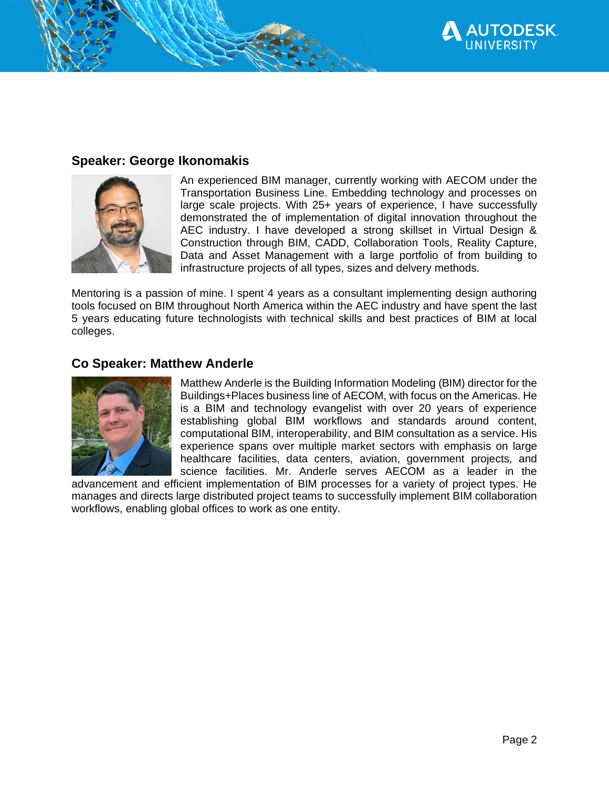

## **Speaker: George Ikonomakis**



An experienced BIM manager, currently working with AECOM under the Transportation Business Line. Embedding technology and processes on large scale projects. With 25+ years of experience, I have successfully demonstrated the of implementation of digital innovation throughout the AEC industry. I have developed a strong skillset in Virtual Design & Construction through BIM, CADD, Collaboration Tools, Reality Capture, Data and Asset Management with a large portfolio of from building to infrastructure projects of all types, sizes and delvery methods.

Mentoring is a passion of mine. I spent 4 years as a consultant implementing design authoring tools focused on BIM throughout North America within the AEC industry and have spent the last 5 years educating future technologists with technical skills and best practices of BIM at local colleges.

# **Co Speaker: Matthew Anderle**



Matthew Anderle is the Building Information Modeling (BIM) director for the Buildings+Places business line of AECOM, with focus on the Americas. He is a BIM and technology evangelist with over 20 years of experience establishing global BIM workflows and standards around content, computational BIM, interoperability, and BIM consultation as a service. His experience spans over multiple market sectors with emphasis on large healthcare facilities, data centers, aviation, government projects, and science facilities. Mr. Anderle serves AECOM as a leader in the

advancement and efficient implementation of BIM processes for a variety of project types. He manages and directs large distributed project teams to successfully implement BIM collaboration workflows, enabling global offices to work as one entity.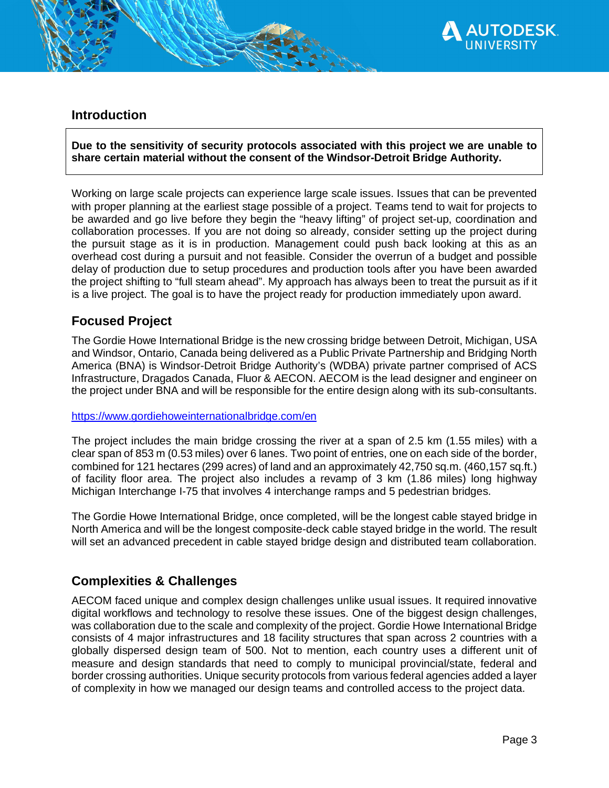

# **Introduction**

**Due to the sensitivity of security protocols associated with this project we are unable to share certain material without the consent of the Windsor-Detroit Bridge Authority.**

Working on large scale projects can experience large scale issues. Issues that can be prevented with proper planning at the earliest stage possible of a project. Teams tend to wait for projects to be awarded and go live before they begin the "heavy lifting" of project set-up, coordination and collaboration processes. If you are not doing so already, consider setting up the project during the pursuit stage as it is in production. Management could push back looking at this as an overhead cost during a pursuit and not feasible. Consider the overrun of a budget and possible delay of production due to setup procedures and production tools after you have been awarded the project shifting to "full steam ahead". My approach has always been to treat the pursuit as if it is a live project. The goal is to have the project ready for production immediately upon award.

# **Focused Project**

The Gordie Howe International Bridge is the new crossing bridge between Detroit, Michigan, USA and Windsor, Ontario, Canada being delivered as a Public Private Partnership and Bridging North America (BNA) is Windsor-Detroit Bridge Authority's (WDBA) private partner comprised of ACS Infrastructure, Dragados Canada, Fluor & AECON. AECOM is the lead designer and engineer on the project under BNA and will be responsible for the entire design along with its sub-consultants.

#### https://www.gordiehoweinternationalbridge.com/en

The project includes the main bridge crossing the river at a span of 2.5 km (1.55 miles) with a clear span of 853 m (0.53 miles) over 6 lanes. Two point of entries, one on each side of the border, combined for 121 hectares (299 acres) of land and an approximately 42,750 sq.m. (460,157 sq.ft.) of facility floor area. The project also includes a revamp of 3 km (1.86 miles) long highway Michigan Interchange I-75 that involves 4 interchange ramps and 5 pedestrian bridges.

The Gordie Howe International Bridge, once completed, will be the longest cable stayed bridge in North America and will be the longest composite-deck cable stayed bridge in the world. The result will set an advanced precedent in cable stayed bridge design and distributed team collaboration.

# **Complexities & Challenges**

AECOM faced unique and complex design challenges unlike usual issues. It required innovative digital workflows and technology to resolve these issues. One of the biggest design challenges, was collaboration due to the scale and complexity of the project. Gordie Howe International Bridge consists of 4 major infrastructures and 18 facility structures that span across 2 countries with a globally dispersed design team of 500. Not to mention, each country uses a different unit of measure and design standards that need to comply to municipal provincial/state, federal and border crossing authorities. Unique security protocols from various federal agencies added a layer of complexity in how we managed our design teams and controlled access to the project data.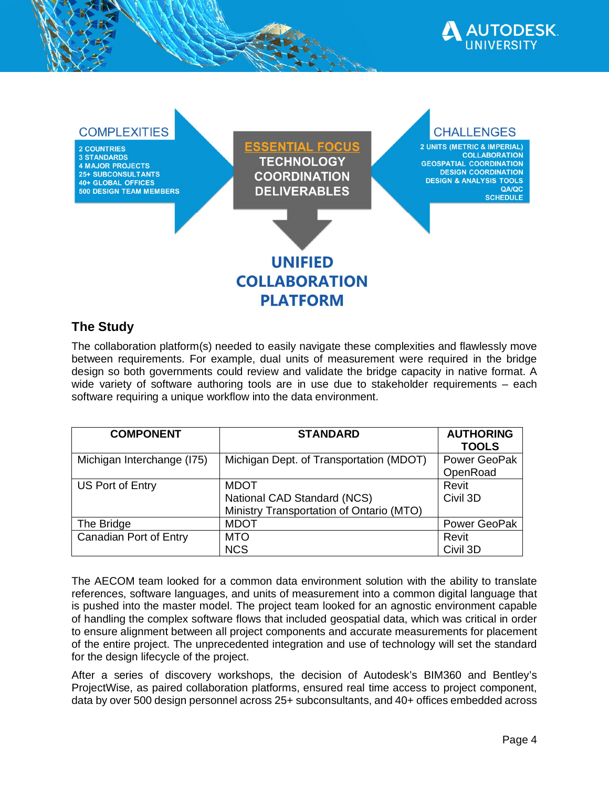



# **The Study**

The collaboration platform(s) needed to easily navigate these complexities and flawlessly move between requirements. For example, dual units of measurement were required in the bridge design so both governments could review and validate the bridge capacity in native format. A wide variety of software authoring tools are in use due to stakeholder requirements – each software requiring a unique workflow into the data environment.

| <b>COMPONENT</b>           | <b>STANDARD</b>                          | <b>AUTHORING</b> |
|----------------------------|------------------------------------------|------------------|
|                            |                                          | <b>TOOLS</b>     |
| Michigan Interchange (I75) | Michigan Dept. of Transportation (MDOT)  | Power GeoPak     |
|                            |                                          | OpenRoad         |
| US Port of Entry           | <b>MDOT</b>                              | Revit            |
|                            | National CAD Standard (NCS)              | Civil 3D         |
|                            | Ministry Transportation of Ontario (MTO) |                  |
| The Bridge                 | <b>MDOT</b>                              | Power GeoPak     |
| Canadian Port of Entry     | <b>MTO</b>                               | Revit            |
|                            | <b>NCS</b>                               | Civil 3D         |

The AECOM team looked for a common data environment solution with the ability to translate references, software languages, and units of measurement into a common digital language that is pushed into the master model. The project team looked for an agnostic environment capable of handling the complex software flows that included geospatial data, which was critical in order to ensure alignment between all project components and accurate measurements for placement of the entire project. The unprecedented integration and use of technology will set the standard for the design lifecycle of the project.

After a series of discovery workshops, the decision of Autodesk's BIM360 and Bentley's ProjectWise, as paired collaboration platforms, ensured real time access to project component, data by over 500 design personnel across 25+ subconsultants, and 40+ offices embedded across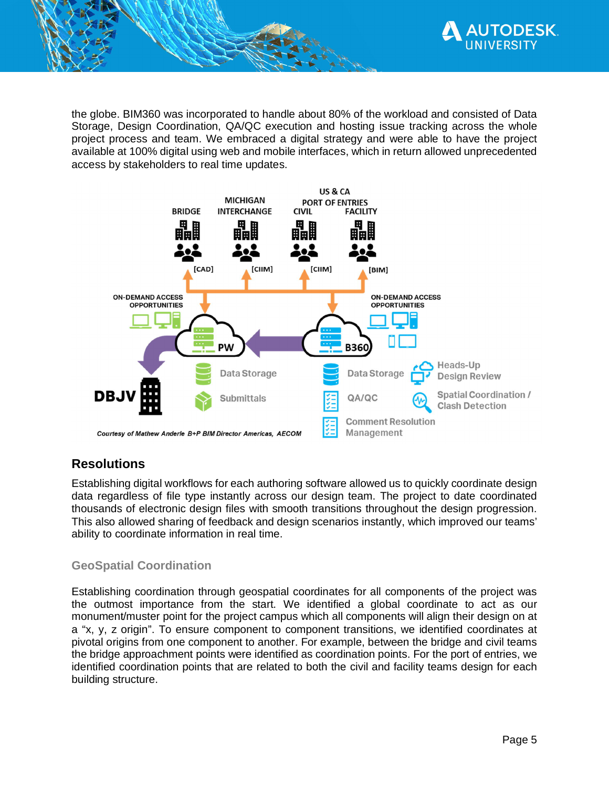

the globe. BIM360 was incorporated to handle about 80% of the workload and consisted of Data Storage, Design Coordination, QA/QC execution and hosting issue tracking across the whole project process and team. We embraced a digital strategy and were able to have the project available at 100% digital using web and mobile interfaces, which in return allowed unprecedented access by stakeholders to real time updates.



# **Resolutions**

Establishing digital workflows for each authoring software allowed us to quickly coordinate design data regardless of file type instantly across our design team. The project to date coordinated thousands of electronic design files with smooth transitions throughout the design progression. This also allowed sharing of feedback and design scenarios instantly, which improved our teams' ability to coordinate information in real time.

### **GeoSpatial Coordination**

Establishing coordination through geospatial coordinates for all components of the project was the outmost importance from the start. We identified a global coordinate to act as our monument/muster point for the project campus which all components will align their design on at a "x, y, z origin". To ensure component to component transitions, we identified coordinates at pivotal origins from one component to another. For example, between the bridge and civil teams the bridge approachment points were identified as coordination points. For the port of entries, we identified coordination points that are related to both the civil and facility teams design for each building structure.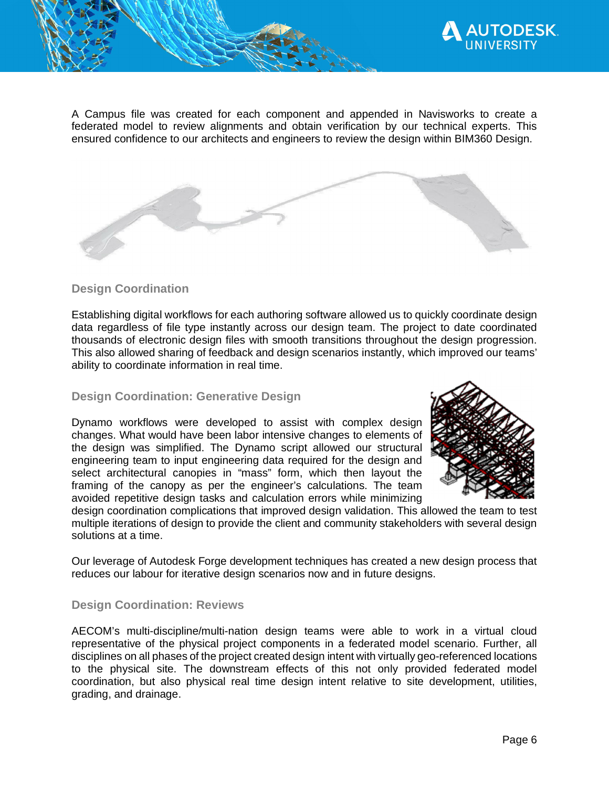

A Campus file was created for each component and appended in Navisworks to create a federated model to review alignments and obtain verification by our technical experts. This ensured confidence to our architects and engineers to review the design within BIM360 Design.

### **Design Coordination**

Establishing digital workflows for each authoring software allowed us to quickly coordinate design data regardless of file type instantly across our design team. The project to date coordinated thousands of electronic design files with smooth transitions throughout the design progression. This also allowed sharing of feedback and design scenarios instantly, which improved our teams' ability to coordinate information in real time.

### **Design Coordination: Generative Design**

Dynamo workflows were developed to assist with complex design changes. What would have been labor intensive changes to elements of the design was simplified. The Dynamo script allowed our structural engineering team to input engineering data required for the design and select architectural canopies in "mass" form, which then layout the framing of the canopy as per the engineer's calculations. The team avoided repetitive design tasks and calculation errors while minimizing



design coordination complications that improved design validation. This allowed the team to test multiple iterations of design to provide the client and community stakeholders with several design solutions at a time.

Our leverage of Autodesk Forge development techniques has created a new design process that reduces our labour for iterative design scenarios now and in future designs.

### **Design Coordination: Reviews**

AECOM's multi-discipline/multi-nation design teams were able to work in a virtual cloud representative of the physical project components in a federated model scenario. Further, all disciplines on all phases of the project created design intent with virtually geo-referenced locations to the physical site. The downstream effects of this not only provided federated model coordination, but also physical real time design intent relative to site development, utilities, grading, and drainage.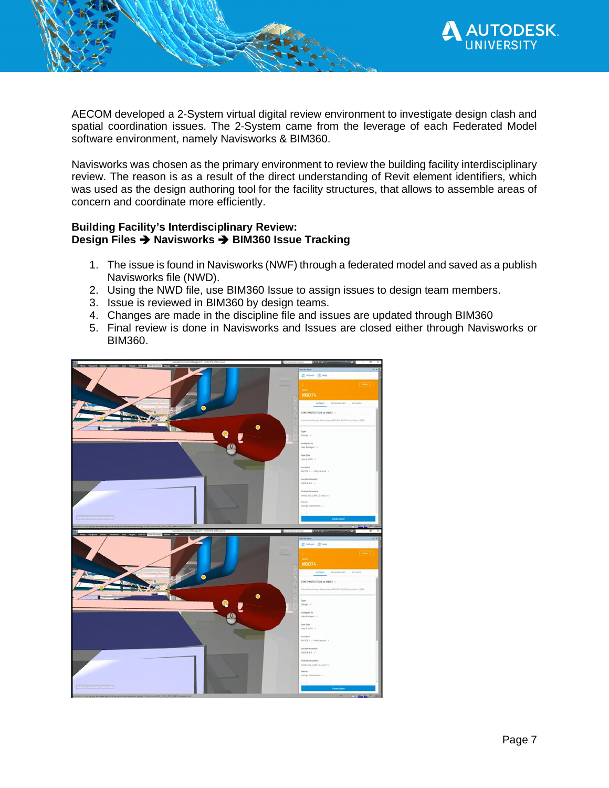

AECOM developed a 2-System virtual digital review environment to investigate design clash and spatial coordination issues. The 2-System came from the leverage of each Federated Model software environment, namely Navisworks & BIM360.

Navisworks was chosen as the primary environment to review the building facility interdisciplinary review. The reason is as a result of the direct understanding of Revit element identifiers, which was used as the design authoring tool for the facility structures, that allows to assemble areas of concern and coordinate more efficiently.

#### **Building Facility's Interdisciplinary Review: Design Files → Navisworks → BIM360 Issue Tracking**

- 1. The issue is found in Navisworks (NWF) through a federated model and saved as a publish Navisworks file (NWD).
- 2. Using the NWD file, use BIM360 Issue to assign issues to design team members.
- 3. Issue is reviewed in BIM360 by design teams.
- 4. Changes are made in the discipline file and issues are updated through BIM360
- 5. Final review is done in Navisworks and Issues are closed either through Navisworks or BIM360.

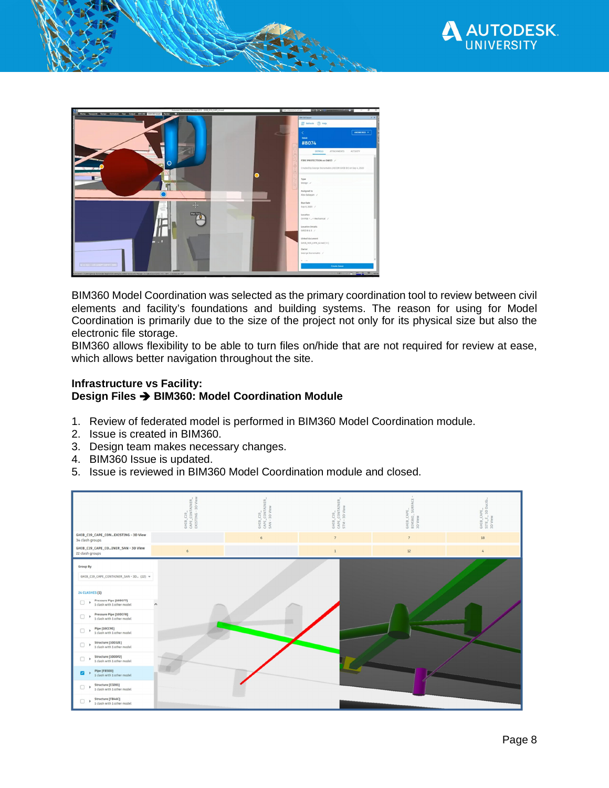



BIM360 Model Coordination was selected as the primary coordination tool to review between civil elements and facility's foundations and building systems. The reason for using for Model Coordination is primarily due to the size of the project not only for its physical size but also the electronic file storage.

BIM360 allows flexibility to be able to turn files on/hide that are not required for review at ease, which allows better navigation throughout the site.

#### **Infrastructure vs Facility: Design Files → BIM360: Model Coordination Module**

- 1. Review of federated model is performed in BIM360 Model Coordination module.
- 2. Issue is created in BIM360.
- 3. Design team makes necessary changes.
- 4. BIM360 Issue is updated.
- 5. Issue is reviewed in BIM360 Model Coordination module and closed.